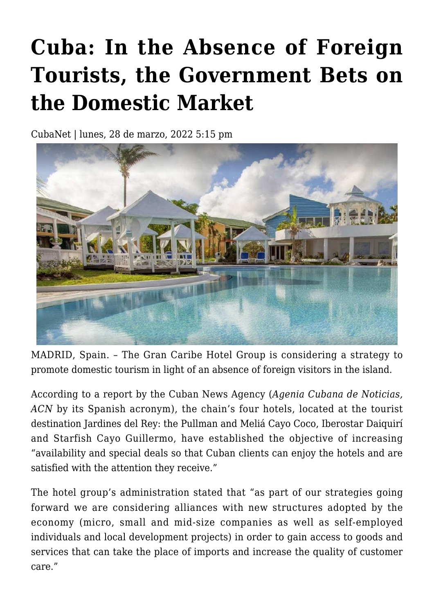## **[Cuba: In the Absence of Foreign](https://www.cubanet.org/english/cuba-in-the-absence-of-foreign-tourists-the-government-bets-on-the-domestic-market/) [Tourists, the Government Bets on](https://www.cubanet.org/english/cuba-in-the-absence-of-foreign-tourists-the-government-bets-on-the-domestic-market/) [the Domestic Market](https://www.cubanet.org/english/cuba-in-the-absence-of-foreign-tourists-the-government-bets-on-the-domestic-market/)**

CubaNet | lunes, 28 de marzo, 2022 5:15 pm



MADRID, Spain. – The Gran Caribe Hotel Group is considering a strategy to promote domestic tourism in light of an absence of foreign visitors in the island.

According to a report by the Cuban News Agency (*Agenia Cubana de Noticias, ACN* by its Spanish acronym), the chain's four hotels, located at the tourist destination Jardines del Rey: the Pullman and Meliá Cayo Coco, Iberostar Daiquirí and Starfish Cayo Guillermo, have established the objective of increasing "availability and special deals so that Cuban clients can enjoy the hotels and are satisfied with the attention they receive."

The hotel group's administration stated that "as part of our strategies going forward we are considering alliances with new structures adopted by the economy (micro, small and mid-size companies as well as self-employed individuals and local development projects) in order to gain access to goods and services that can take the place of imports and increase the quality of customer care."